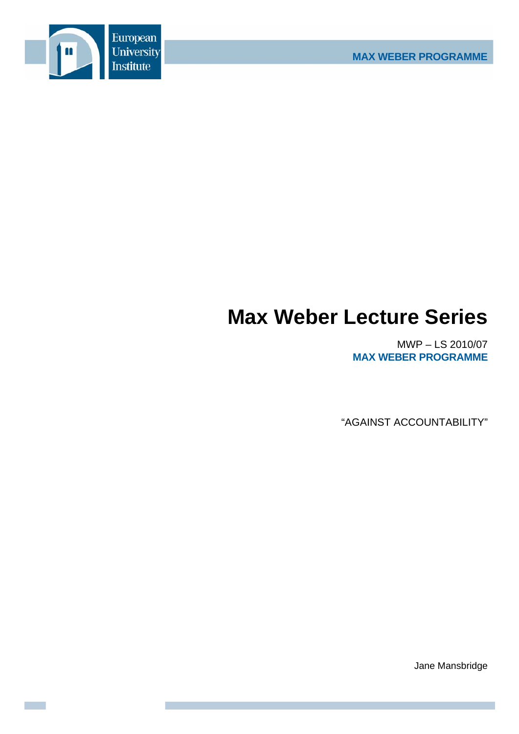

## **Max Weber Lecture Series**

MWP – LS 2010/07 **MAX WEBER PROGRAMME**

"AGAINST ACCOUNTABILITY"

Jane Mansbridge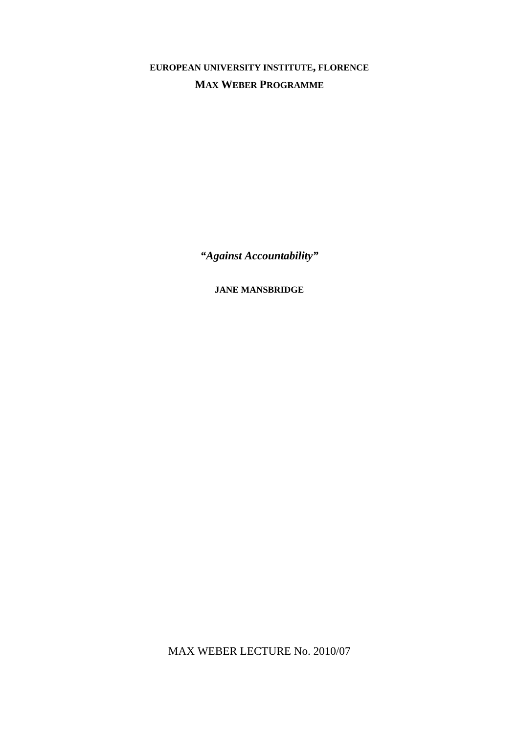**EUROPEAN UNIVERSITY INSTITUTE, FLORENCE MAX WEBER PROGRAMME**

*"Against Accountability"* 

**JANE MANSBRIDGE**

MAX WEBER LECTURE No. 2010/07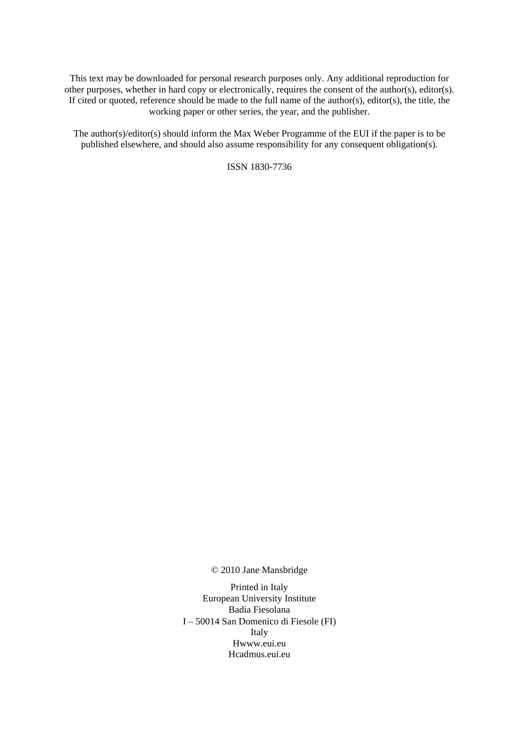This text may be downloaded for personal research purposes only. Any additional reproduction for other purposes, whether in hard copy or electronically, requires the consent of the author(s), editor(s). If cited or quoted, reference should be made to the full name of the author(s), editor(s), the title, the working paper or other series, the year, and the publisher.

The author(s)/editor(s) should inform the Max Weber Programme of the EUI if the paper is to be published elsewhere, and should also assume responsibility for any consequent obligation(s).

ISSN 1830-7736

© 2010 Jane Mansbridge

Printed in Italy European University Institute Badia Fiesolana I – 50014 San Domenico di Fiesole (FI) Italy Hwww.eui.eu H cadmus.eui.eu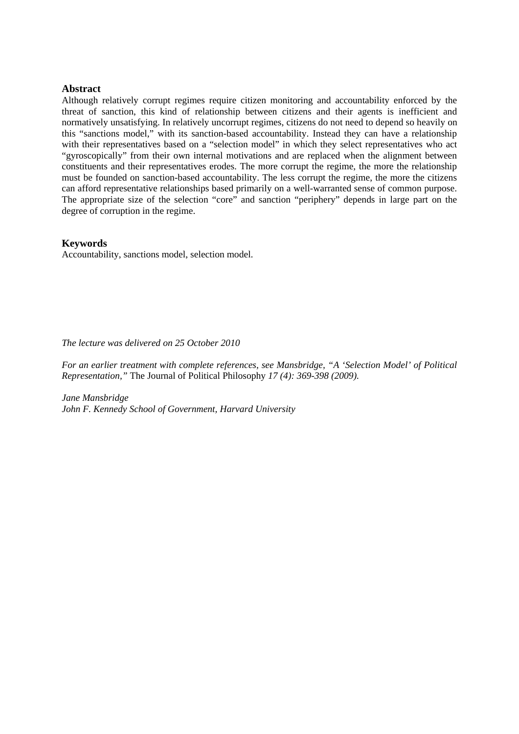## **Abstract**

Although relatively corrupt regimes require citizen monitoring and accountability enforced by the threat of sanction, this kind of relationship between citizens and their agents is inefficient and normatively unsatisfying. In relatively uncorrupt regimes, citizens do not need to depend so heavily on this "sanctions model," with its sanction-based accountability. Instead they can have a relationship with their representatives based on a "selection model" in which they select representatives who act "gyroscopically" from their own internal motivations and are replaced when the alignment between constituents and their representatives erodes. The more corrupt the regime, the more the relationship must be founded on sanction-based accountability. The less corrupt the regime, the more the citizens can afford representative relationships based primarily on a well-warranted sense of common purpose. The appropriate size of the selection "core" and sanction "periphery" depends in large part on the degree of corruption in the regime.

## **Keywords**

Accountability, sanctions model, selection model.

*The lecture was delivered on 25 October 2010* 

*For an earlier treatment with complete references, see Mansbridge, "A 'Selection Model' of Political Representation,"* The Journal of Political Philosophy *17 (4): 369-398 (2009).* 

*Jane Mansbridge John F. Kennedy School of Government, Harvard University*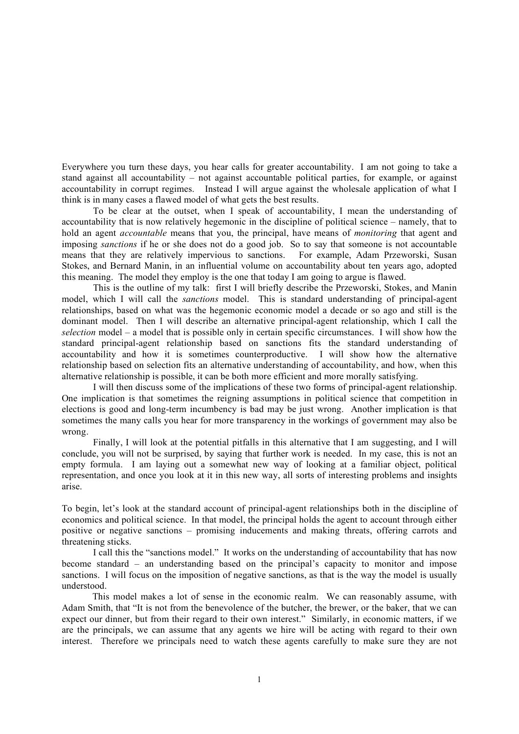Everywhere you turn these days, you hear calls for greater accountability. I am not going to take a stand against all accountability – not against accountable political parties, for example, or against accountability in corrupt regimes. Instead I will argue against the wholesale application of what I think is in many cases a flawed model of what gets the best results.

To be clear at the outset, when I speak of accountability, I mean the understanding of accountability that is now relatively hegemonic in the discipline of political science – namely, that to hold an agent *accountable* means that you, the principal, have means of *monitoring* that agent and imposing *sanctions* if he or she does not do a good job. So to say that someone is not accountable means that they are relatively impervious to sanctions. For example, Adam Przeworski, Susan Stokes, and Bernard Manin, in an influential volume on accountability about ten years ago, adopted this meaning. The model they employ is the one that today I am going to argue is flawed.

This is the outline of my talk: first I will briefly describe the Przeworski, Stokes, and Manin model, which I will call the *sanctions* model. This is standard understanding of principal-agent relationships, based on what was the hegemonic economic model a decade or so ago and still is the dominant model. Then I will describe an alternative principal-agent relationship, which I call the *selection* model – a model that is possible only in certain specific circumstances. I will show how the standard principal-agent relationship based on sanctions fits the standard understanding of accountability and how it is sometimes counterproductive. I will show how the alternative relationship based on selection fits an alternative understanding of accountability, and how, when this alternative relationship is possible, it can be both more efficient and more morally satisfying.

I will then discuss some of the implications of these two forms of principal-agent relationship. One implication is that sometimes the reigning assumptions in political science that competition in elections is good and long-term incumbency is bad may be just wrong. Another implication is that sometimes the many calls you hear for more transparency in the workings of government may also be wrong.

Finally, I will look at the potential pitfalls in this alternative that I am suggesting, and I will conclude, you will not be surprised, by saying that further work is needed. In my case, this is not an empty formula. I am laying out a somewhat new way of looking at a familiar object, political representation, and once you look at it in this new way, all sorts of interesting problems and insights arise.

To begin, let's look at the standard account of principal-agent relationships both in the discipline of economics and political science. In that model, the principal holds the agent to account through either positive or negative sanctions – promising inducements and making threats, offering carrots and threatening sticks.

I call this the "sanctions model." It works on the understanding of accountability that has now become standard – an understanding based on the principal's capacity to monitor and impose sanctions. I will focus on the imposition of negative sanctions, as that is the way the model is usually understood.

This model makes a lot of sense in the economic realm. We can reasonably assume, with Adam Smith, that "It is not from the benevolence of the butcher, the brewer, or the baker, that we can expect our dinner, but from their regard to their own interest." Similarly, in economic matters, if we are the principals, we can assume that any agents we hire will be acting with regard to their own interest. Therefore we principals need to watch these agents carefully to make sure they are not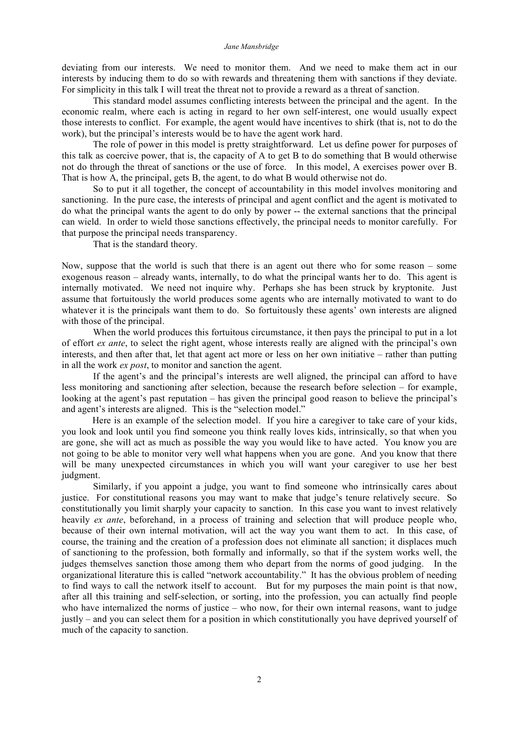deviating from our interests. We need to monitor them. And we need to make them act in our interests by inducing them to do so with rewards and threatening them with sanctions if they deviate. For simplicity in this talk I will treat the threat not to provide a reward as a threat of sanction.

This standard model assumes conflicting interests between the principal and the agent. In the economic realm, where each is acting in regard to her own self-interest, one would usually expect those interests to conflict. For example, the agent would have incentives to shirk (that is, not to do the work), but the principal's interests would be to have the agent work hard.

The role of power in this model is pretty straightforward. Let us define power for purposes of this talk as coercive power, that is, the capacity of A to get B to do something that B would otherwise not do through the threat of sanctions or the use of force. In this model, A exercises power over B. That is how A, the principal, gets B, the agent, to do what B would otherwise not do.

So to put it all together, the concept of accountability in this model involves monitoring and sanctioning. In the pure case, the interests of principal and agent conflict and the agent is motivated to do what the principal wants the agent to do only by power -- the external sanctions that the principal can wield. In order to wield those sanctions effectively, the principal needs to monitor carefully. For that purpose the principal needs transparency.

That is the standard theory.

Now, suppose that the world is such that there is an agent out there who for some reason – some exogenous reason – already wants, internally, to do what the principal wants her to do. This agent is internally motivated. We need not inquire why. Perhaps she has been struck by kryptonite. Just assume that fortuitously the world produces some agents who are internally motivated to want to do whatever it is the principals want them to do. So fortuitously these agents' own interests are aligned with those of the principal.

When the world produces this fortuitous circumstance, it then pays the principal to put in a lot of effort *ex ante*, to select the right agent, whose interests really are aligned with the principal's own interests, and then after that, let that agent act more or less on her own initiative – rather than putting in all the work *ex post*, to monitor and sanction the agent.

If the agent's and the principal's interests are well aligned, the principal can afford to have less monitoring and sanctioning after selection, because the research before selection – for example, looking at the agent's past reputation – has given the principal good reason to believe the principal's and agent's interests are aligned. This is the "selection model."

Here is an example of the selection model. If you hire a caregiver to take care of your kids, you look and look until you find someone you think really loves kids, intrinsically, so that when you are gone, she will act as much as possible the way you would like to have acted. You know you are not going to be able to monitor very well what happens when you are gone. And you know that there will be many unexpected circumstances in which you will want your caregiver to use her best judgment.

Similarly, if you appoint a judge, you want to find someone who intrinsically cares about justice. For constitutional reasons you may want to make that judge's tenure relatively secure. So constitutionally you limit sharply your capacity to sanction. In this case you want to invest relatively heavily *ex ante*, beforehand, in a process of training and selection that will produce people who, because of their own internal motivation, will act the way you want them to act. In this case, of course, the training and the creation of a profession does not eliminate all sanction; it displaces much of sanctioning to the profession, both formally and informally, so that if the system works well, the judges themselves sanction those among them who depart from the norms of good judging. In the organizational literature this is called "network accountability." It has the obvious problem of needing to find ways to call the network itself to account. But for my purposes the main point is that now, after all this training and self-selection, or sorting, into the profession, you can actually find people who have internalized the norms of justice – who now, for their own internal reasons, want to judge justly – and you can select them for a position in which constitutionally you have deprived yourself of much of the capacity to sanction.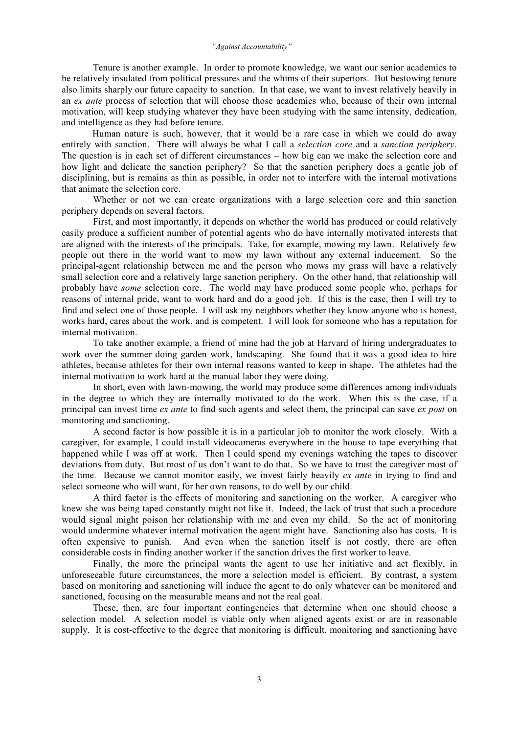Tenure is another example. In order to promote knowledge, we want our senior academics to be relatively insulated from political pressures and the whims of their superiors. But bestowing tenure also limits sharply our future capacity to sanction. In that case, we want to invest relatively heavily in an *ex ante* process of selection that will choose those academics who, because of their own internal motivation, will keep studying whatever they have been studying with the same intensity, dedication, and intelligence as they had before tenure.

Human nature is such, however, that it would be a rare case in which we could do away entirely with sanction. There will always be what I call a *selection core* and a *sanction periphery*. The question is in each set of different circumstances – how big can we make the selection core and how light and delicate the sanction periphery? So that the sanction periphery does a gentle job of disciplining, but is remains as thin as possible, in order not to interfere with the internal motivations that animate the selection core.

Whether or not we can create organizations with a large selection core and thin sanction periphery depends on several factors.

First, and most importantly, it depends on whether the world has produced or could relatively easily produce a sufficient number of potential agents who do have internally motivated interests that are aligned with the interests of the principals. Take, for example, mowing my lawn. Relatively few people out there in the world want to mow my lawn without any external inducement. So the principal-agent relationship between me and the person who mows my grass will have a relatively small selection core and a relatively large sanction periphery. On the other hand, that relationship will probably have *some* selection core. The world may have produced some people who, perhaps for reasons of internal pride, want to work hard and do a good job. If this is the case, then I will try to find and select one of those people. I will ask my neighbors whether they know anyone who is honest, works hard, cares about the work, and is competent. I will look for someone who has a reputation for internal motivation.

To take another example, a friend of mine had the job at Harvard of hiring undergraduates to work over the summer doing garden work, landscaping. She found that it was a good idea to hire athletes, because athletes for their own internal reasons wanted to keep in shape. The athletes had the internal motivation to work hard at the manual labor they were doing.

In short, even with lawn-mowing, the world may produce some differences among individuals in the degree to which they are internally motivated to do the work. When this is the case, if a principal can invest time *ex ante* to find such agents and select them, the principal can save *ex post* on monitoring and sanctioning.

A second factor is how possible it is in a particular job to monitor the work closely. With a caregiver, for example, I could install videocameras everywhere in the house to tape everything that happened while I was off at work. Then I could spend my evenings watching the tapes to discover deviations from duty. But most of us don't want to do that. So we have to trust the caregiver most of the time. Because we cannot monitor easily, we invest fairly heavily *ex ante* in trying to find and select someone who will want, for her own reasons, to do well by our child.

A third factor is the effects of monitoring and sanctioning on the worker. A caregiver who knew she was being taped constantly might not like it. Indeed, the lack of trust that such a procedure would signal might poison her relationship with me and even my child. So the act of monitoring would undermine whatever internal motivation the agent might have. Sanctioning also has costs. It is often expensive to punish. And even when the sanction itself is not costly, there are often considerable costs in finding another worker if the sanction drives the first worker to leave.

Finally, the more the principal wants the agent to use her initiative and act flexibly, in unforeseeable future circumstances, the more a selection model is efficient. By contrast, a system based on monitoring and sanctioning will induce the agent to do only whatever can be monitored and sanctioned, focusing on the measurable means and not the real goal.

These, then, are four important contingencies that determine when one should choose a selection model. A selection model is viable only when aligned agents exist or are in reasonable supply. It is cost-effective to the degree that monitoring is difficult, monitoring and sanctioning have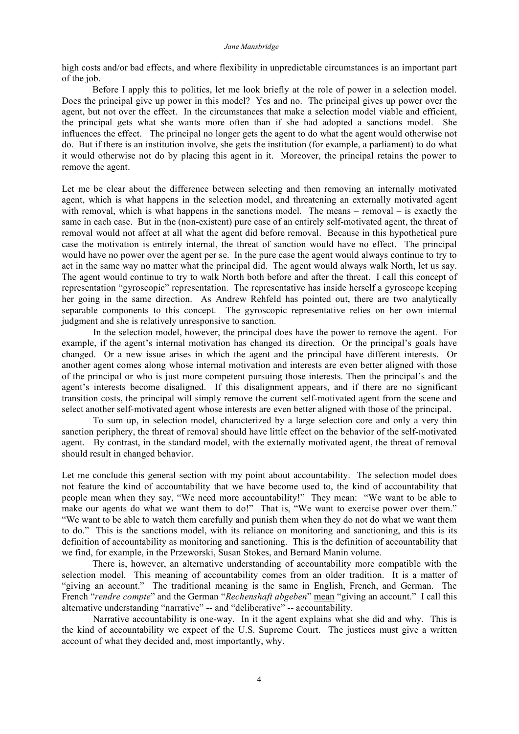high costs and/or bad effects, and where flexibility in unpredictable circumstances is an important part of the job.

Before I apply this to politics, let me look briefly at the role of power in a selection model. Does the principal give up power in this model? Yes and no. The principal gives up power over the agent, but not over the effect. In the circumstances that make a selection model viable and efficient, the principal gets what she wants more often than if she had adopted a sanctions model. She influences the effect. The principal no longer gets the agent to do what the agent would otherwise not do. But if there is an institution involve, she gets the institution (for example, a parliament) to do what it would otherwise not do by placing this agent in it. Moreover, the principal retains the power to remove the agent.

Let me be clear about the difference between selecting and then removing an internally motivated agent, which is what happens in the selection model, and threatening an externally motivated agent with removal, which is what happens in the sanctions model. The means – removal – is exactly the same in each case. But in the (non-existent) pure case of an entirely self-motivated agent, the threat of removal would not affect at all what the agent did before removal. Because in this hypothetical pure case the motivation is entirely internal, the threat of sanction would have no effect. The principal would have no power over the agent per se. In the pure case the agent would always continue to try to act in the same way no matter what the principal did. The agent would always walk North, let us say. The agent would continue to try to walk North both before and after the threat. I call this concept of representation "gyroscopic" representation. The representative has inside herself a gyroscope keeping her going in the same direction. As Andrew Rehfeld has pointed out, there are two analytically separable components to this concept. The gyroscopic representative relies on her own internal judgment and she is relatively unresponsive to sanction.

In the selection model, however, the principal does have the power to remove the agent. For example, if the agent's internal motivation has changed its direction. Or the principal's goals have changed. Or a new issue arises in which the agent and the principal have different interests. Or another agent comes along whose internal motivation and interests are even better aligned with those of the principal or who is just more competent pursuing those interests. Then the principal's and the agent's interests become disaligned. If this disalignment appears, and if there are no significant transition costs, the principal will simply remove the current self-motivated agent from the scene and select another self-motivated agent whose interests are even better aligned with those of the principal.

To sum up, in selection model, characterized by a large selection core and only a very thin sanction periphery, the threat of removal should have little effect on the behavior of the self-motivated agent. By contrast, in the standard model, with the externally motivated agent, the threat of removal should result in changed behavior.

Let me conclude this general section with my point about accountability. The selection model does not feature the kind of accountability that we have become used to, the kind of accountability that people mean when they say, "We need more accountability!" They mean: "We want to be able to make our agents do what we want them to do!" That is, "We want to exercise power over them." "We want to be able to watch them carefully and punish them when they do not do what we want them to do." This is the sanctions model, with its reliance on monitoring and sanctioning, and this is its definition of accountability as monitoring and sanctioning. This is the definition of accountability that we find, for example, in the Przeworski, Susan Stokes, and Bernard Manin volume.

There is, however, an alternative understanding of accountability more compatible with the selection model. This meaning of accountability comes from an older tradition. It is a matter of "giving an account." The traditional meaning is the same in English, French, and German. The French "*rendre compte*" and the German "*Rechenshaft abgeben*" mean "giving an account." I call this alternative understanding "narrative" -- and "deliberative" -- accountability.

Narrative accountability is one-way. In it the agent explains what she did and why. This is the kind of accountability we expect of the U.S. Supreme Court. The justices must give a written account of what they decided and, most importantly, why.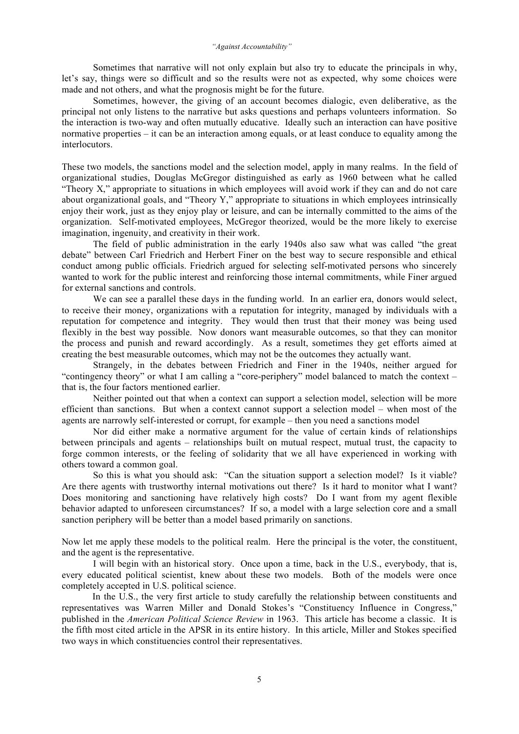Sometimes that narrative will not only explain but also try to educate the principals in why, let's say, things were so difficult and so the results were not as expected, why some choices were made and not others, and what the prognosis might be for the future.

Sometimes, however, the giving of an account becomes dialogic, even deliberative, as the principal not only listens to the narrative but asks questions and perhaps volunteers information. So the interaction is two-way and often mutually educative. Ideally such an interaction can have positive normative properties – it can be an interaction among equals, or at least conduce to equality among the interlocutors.

These two models, the sanctions model and the selection model, apply in many realms. In the field of organizational studies, Douglas McGregor distinguished as early as 1960 between what he called "Theory X," appropriate to situations in which employees will avoid work if they can and do not care about organizational goals, and "Theory Y," appropriate to situations in which employees intrinsically enjoy their work, just as they enjoy play or leisure, and can be internally committed to the aims of the organization. Self-motivated employees, McGregor theorized, would be the more likely to exercise imagination, ingenuity, and creativity in their work.

The field of public administration in the early 1940s also saw what was called "the great debate" between Carl Friedrich and Herbert Finer on the best way to secure responsible and ethical conduct among public officials. Friedrich argued for selecting self-motivated persons who sincerely wanted to work for the public interest and reinforcing those internal commitments, while Finer argued for external sanctions and controls.

We can see a parallel these days in the funding world. In an earlier era, donors would select, to receive their money, organizations with a reputation for integrity, managed by individuals with a reputation for competence and integrity. They would then trust that their money was being used flexibly in the best way possible. Now donors want measurable outcomes, so that they can monitor the process and punish and reward accordingly. As a result, sometimes they get efforts aimed at creating the best measurable outcomes, which may not be the outcomes they actually want.

Strangely, in the debates between Friedrich and Finer in the 1940s, neither argued for "contingency theory" or what I am calling a "core-periphery" model balanced to match the context – that is, the four factors mentioned earlier.

Neither pointed out that when a context can support a selection model, selection will be more efficient than sanctions. But when a context cannot support a selection model – when most of the agents are narrowly self-interested or corrupt, for example – then you need a sanctions model

Nor did either make a normative argument for the value of certain kinds of relationships between principals and agents – relationships built on mutual respect, mutual trust, the capacity to forge common interests, or the feeling of solidarity that we all have experienced in working with others toward a common goal.

So this is what you should ask: "Can the situation support a selection model? Is it viable? Are there agents with trustworthy internal motivations out there? Is it hard to monitor what I want? Does monitoring and sanctioning have relatively high costs? Do I want from my agent flexible behavior adapted to unforeseen circumstances? If so, a model with a large selection core and a small sanction periphery will be better than a model based primarily on sanctions.

Now let me apply these models to the political realm. Here the principal is the voter, the constituent, and the agent is the representative.

I will begin with an historical story. Once upon a time, back in the U.S., everybody, that is, every educated political scientist, knew about these two models. Both of the models were once completely accepted in U.S. political science.

In the U.S., the very first article to study carefully the relationship between constituents and representatives was Warren Miller and Donald Stokes's "Constituency Influence in Congress," published in the *American Political Science Review* in 1963. This article has become a classic. It is the fifth most cited article in the APSR in its entire history. In this article, Miller and Stokes specified two ways in which constituencies control their representatives.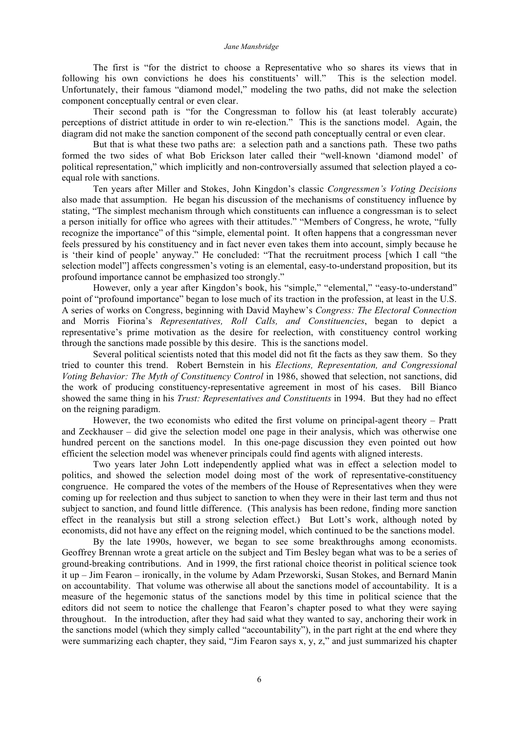The first is "for the district to choose a Representative who so shares its views that in following his own convictions he does his constituents' will." This is the selection model. Unfortunately, their famous "diamond model," modeling the two paths, did not make the selection component conceptually central or even clear.

Their second path is "for the Congressman to follow his (at least tolerably accurate) perceptions of district attitude in order to win re-election." This is the sanctions model. Again, the diagram did not make the sanction component of the second path conceptually central or even clear.

But that is what these two paths are: a selection path and a sanctions path. These two paths formed the two sides of what Bob Erickson later called their "well-known 'diamond model' of political representation," which implicitly and non-controversially assumed that selection played a coequal role with sanctions.

Ten years after Miller and Stokes, John Kingdon's classic *Congressmen's Voting Decisions* also made that assumption. He began his discussion of the mechanisms of constituency influence by stating, "The simplest mechanism through which constituents can influence a congressman is to select a person initially for office who agrees with their attitudes." "Members of Congress, he wrote, "fully recognize the importance" of this "simple, elemental point. It often happens that a congressman never feels pressured by his constituency and in fact never even takes them into account, simply because he is 'their kind of people' anyway." He concluded: "That the recruitment process [which I call "the selection model"] affects congressmen's voting is an elemental, easy-to-understand proposition, but its profound importance cannot be emphasized too strongly."

However, only a year after Kingdon's book, his "simple," "elemental," "easy-to-understand" point of "profound importance" began to lose much of its traction in the profession, at least in the U.S. A series of works on Congress, beginning with David Mayhew's *Congress: The Electoral Connection* and Morris Fiorina's *Representatives, Roll Calls, and Constituencies*, began to depict a representative's prime motivation as the desire for reelection, with constituency control working through the sanctions made possible by this desire. This is the sanctions model.

Several political scientists noted that this model did not fit the facts as they saw them. So they tried to counter this trend. Robert Bernstein in his *Elections, Representation, and Congressional Voting Behavior: The Myth of Constituency Control* in 1986, showed that selection, not sanctions, did the work of producing constituency-representative agreement in most of his cases. Bill Bianco showed the same thing in his *Trust: Representatives and Constituents* in 1994. But they had no effect on the reigning paradigm.

However, the two economists who edited the first volume on principal-agent theory – Pratt and Zeckhauser – did give the selection model one page in their analysis, which was otherwise one hundred percent on the sanctions model. In this one-page discussion they even pointed out how efficient the selection model was whenever principals could find agents with aligned interests.

Two years later John Lott independently applied what was in effect a selection model to politics, and showed the selection model doing most of the work of representative-constituency congruence. He compared the votes of the members of the House of Representatives when they were coming up for reelection and thus subject to sanction to when they were in their last term and thus not subject to sanction, and found little difference. (This analysis has been redone, finding more sanction effect in the reanalysis but still a strong selection effect.) But Lott's work, although noted by economists, did not have any effect on the reigning model, which continued to be the sanctions model.

By the late 1990s, however, we began to see some breakthroughs among economists. Geoffrey Brennan wrote a great article on the subject and Tim Besley began what was to be a series of ground-breaking contributions. And in 1999, the first rational choice theorist in political science took it up – Jim Fearon – ironically, in the volume by Adam Przeworski, Susan Stokes, and Bernard Manin on accountability. That volume was otherwise all about the sanctions model of accountability. It is a measure of the hegemonic status of the sanctions model by this time in political science that the editors did not seem to notice the challenge that Fearon's chapter posed to what they were saying throughout. In the introduction, after they had said what they wanted to say, anchoring their work in the sanctions model (which they simply called "accountability"), in the part right at the end where they were summarizing each chapter, they said, "Jim Fearon says x, y, z," and just summarized his chapter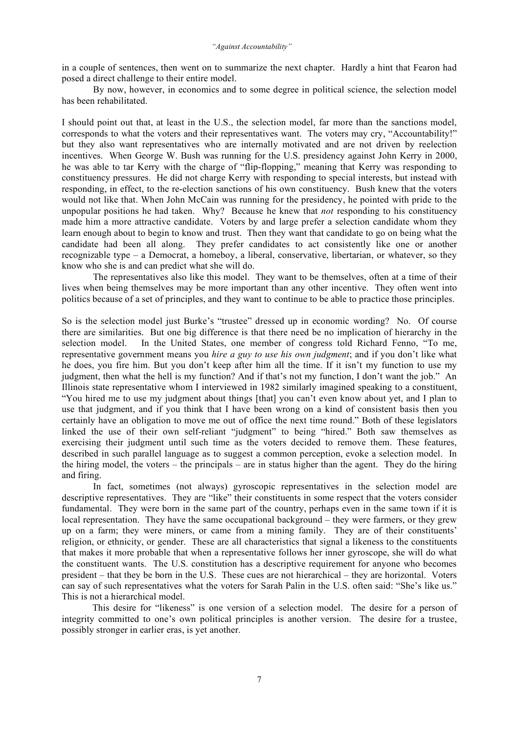in a couple of sentences, then went on to summarize the next chapter. Hardly a hint that Fearon had posed a direct challenge to their entire model.

By now, however, in economics and to some degree in political science, the selection model has been rehabilitated.

I should point out that, at least in the U.S., the selection model, far more than the sanctions model, corresponds to what the voters and their representatives want. The voters may cry, "Accountability!" but they also want representatives who are internally motivated and are not driven by reelection incentives. When George W. Bush was running for the U.S. presidency against John Kerry in 2000, he was able to tar Kerry with the charge of "flip-flopping," meaning that Kerry was responding to constituency pressures. He did not charge Kerry with responding to special interests, but instead with responding, in effect, to the re-election sanctions of his own constituency. Bush knew that the voters would not like that. When John McCain was running for the presidency, he pointed with pride to the unpopular positions he had taken. Why? Because he knew that *not* responding to his constituency made him a more attractive candidate. Voters by and large prefer a selection candidate whom they learn enough about to begin to know and trust. Then they want that candidate to go on being what the candidate had been all along. They prefer candidates to act consistently like one or another recognizable type – a Democrat, a homeboy, a liberal, conservative, libertarian, or whatever, so they know who she is and can predict what she will do.

The representatives also like this model. They want to be themselves, often at a time of their lives when being themselves may be more important than any other incentive. They often went into politics because of a set of principles, and they want to continue to be able to practice those principles.

So is the selection model just Burke's "trustee" dressed up in economic wording? No. Of course there are similarities. But one big difference is that there need be no implication of hierarchy in the selection model. In the United States, one member of congress told Richard Fenno, "To me, representative government means you *hire a guy to use his own judgment*; and if you don't like what he does, you fire him. But you don't keep after him all the time. If it isn't my function to use my judgment, then what the hell is my function? And if that's not my function, I don't want the job." An Illinois state representative whom I interviewed in 1982 similarly imagined speaking to a constituent, "You hired me to use my judgment about things [that] you can't even know about yet, and I plan to use that judgment, and if you think that I have been wrong on a kind of consistent basis then you certainly have an obligation to move me out of office the next time round." Both of these legislators linked the use of their own self-reliant "judgment" to being "hired." Both saw themselves as exercising their judgment until such time as the voters decided to remove them. These features, described in such parallel language as to suggest a common perception, evoke a selection model. In the hiring model, the voters – the principals – are in status higher than the agent. They do the hiring and firing.

In fact, sometimes (not always) gyroscopic representatives in the selection model are descriptive representatives. They are "like" their constituents in some respect that the voters consider fundamental. They were born in the same part of the country, perhaps even in the same town if it is local representation. They have the same occupational background – they were farmers, or they grew up on a farm; they were miners, or came from a mining family. They are of their constituents' religion, or ethnicity, or gender. These are all characteristics that signal a likeness to the constituents that makes it more probable that when a representative follows her inner gyroscope, she will do what the constituent wants. The U.S. constitution has a descriptive requirement for anyone who becomes president – that they be born in the U.S. These cues are not hierarchical – they are horizontal. Voters can say of such representatives what the voters for Sarah Palin in the U.S. often said: "She's like us." This is not a hierarchical model.

This desire for "likeness" is one version of a selection model. The desire for a person of integrity committed to one's own political principles is another version. The desire for a trustee, possibly stronger in earlier eras, is yet another.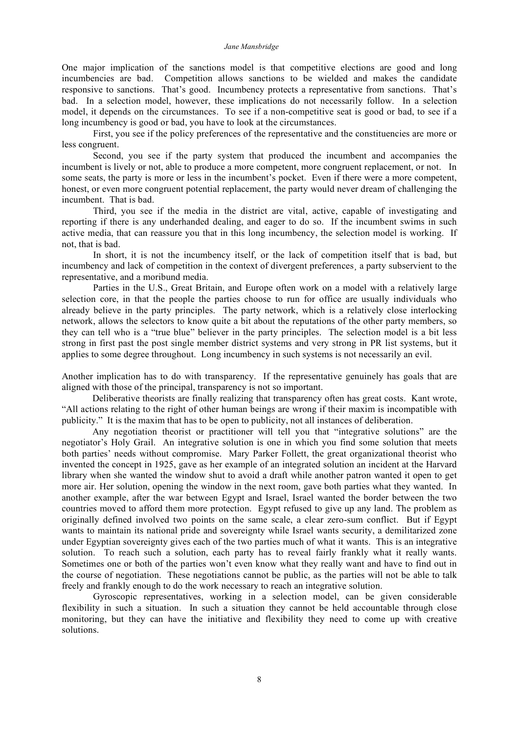One major implication of the sanctions model is that competitive elections are good and long incumbencies are bad. Competition allows sanctions to be wielded and makes the candidate responsive to sanctions. That's good. Incumbency protects a representative from sanctions. That's bad. In a selection model, however, these implications do not necessarily follow. In a selection model, it depends on the circumstances. To see if a non-competitive seat is good or bad, to see if a long incumbency is good or bad, you have to look at the circumstances.

First, you see if the policy preferences of the representative and the constituencies are more or less congruent.

Second, you see if the party system that produced the incumbent and accompanies the incumbent is lively or not, able to produce a more competent, more congruent replacement, or not. In some seats, the party is more or less in the incumbent's pocket. Even if there were a more competent, honest, or even more congruent potential replacement, the party would never dream of challenging the incumbent. That is bad.

Third, you see if the media in the district are vital, active, capable of investigating and reporting if there is any underhanded dealing, and eager to do so. If the incumbent swims in such active media, that can reassure you that in this long incumbency, the selection model is working. If not, that is bad.

In short, it is not the incumbency itself, or the lack of competition itself that is bad, but incumbency and lack of competition in the context of divergent preferences¸ a party subservient to the representative, and a moribund media.

Parties in the U.S., Great Britain, and Europe often work on a model with a relatively large selection core, in that the people the parties choose to run for office are usually individuals who already believe in the party principles. The party network, which is a relatively close interlocking network, allows the selectors to know quite a bit about the reputations of the other party members, so they can tell who is a "true blue" believer in the party principles. The selection model is a bit less strong in first past the post single member district systems and very strong in PR list systems, but it applies to some degree throughout. Long incumbency in such systems is not necessarily an evil.

Another implication has to do with transparency. If the representative genuinely has goals that are aligned with those of the principal, transparency is not so important.

Deliberative theorists are finally realizing that transparency often has great costs. Kant wrote, "All actions relating to the right of other human beings are wrong if their maxim is incompatible with publicity." It is the maxim that has to be open to publicity, not all instances of deliberation.

Any negotiation theorist or practitioner will tell you that "integrative solutions" are the negotiator's Holy Grail. An integrative solution is one in which you find some solution that meets both parties' needs without compromise. Mary Parker Follett, the great organizational theorist who invented the concept in 1925, gave as her example of an integrated solution an incident at the Harvard library when she wanted the window shut to avoid a draft while another patron wanted it open to get more air. Her solution, opening the window in the next room, gave both parties what they wanted. In another example, after the war between Egypt and Israel, Israel wanted the border between the two countries moved to afford them more protection. Egypt refused to give up any land. The problem as originally defined involved two points on the same scale, a clear zero-sum conflict. But if Egypt wants to maintain its national pride and sovereignty while Israel wants security, a demilitarized zone under Egyptian sovereignty gives each of the two parties much of what it wants. This is an integrative solution. To reach such a solution, each party has to reveal fairly frankly what it really wants. Sometimes one or both of the parties won't even know what they really want and have to find out in the course of negotiation. These negotiations cannot be public, as the parties will not be able to talk freely and frankly enough to do the work necessary to reach an integrative solution.

Gyroscopic representatives, working in a selection model, can be given considerable flexibility in such a situation. In such a situation they cannot be held accountable through close monitoring, but they can have the initiative and flexibility they need to come up with creative solutions.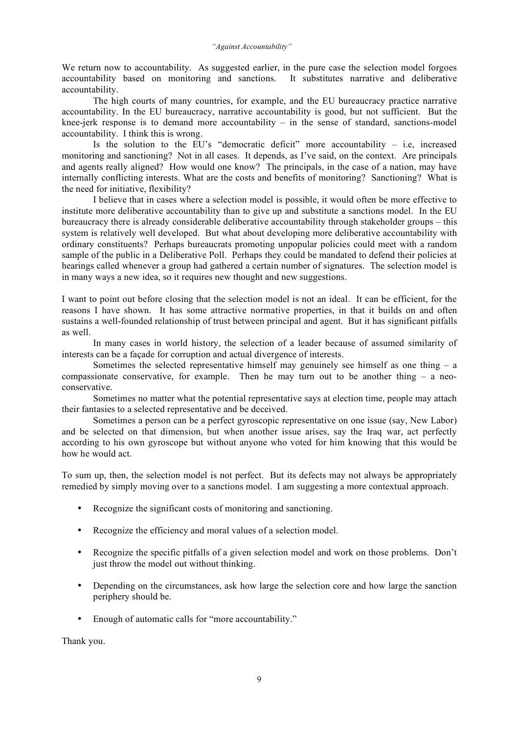We return now to accountability. As suggested earlier, in the pure case the selection model forgoes accountability based on monitoring and sanctions. It substitutes narrative and deliberative accountability.

The high courts of many countries, for example, and the EU bureaucracy practice narrative accountability. In the EU bureaucracy, narrative accountability is good, but not sufficient. But the knee-jerk response is to demand more accountability  $-$  in the sense of standard, sanctions-model accountability. I think this is wrong.

Is the solution to the EU's "democratic deficit" more accountability  $-$  i.e, increased monitoring and sanctioning? Not in all cases. It depends, as I've said, on the context. Are principals and agents really aligned? How would one know? The principals, in the case of a nation, may have internally conflicting interests. What are the costs and benefits of monitoring? Sanctioning? What is the need for initiative, flexibility?

I believe that in cases where a selection model is possible, it would often be more effective to institute more deliberative accountability than to give up and substitute a sanctions model. In the EU bureaucracy there is already considerable deliberative accountability through stakeholder groups – this system is relatively well developed. But what about developing more deliberative accountability with ordinary constituents? Perhaps bureaucrats promoting unpopular policies could meet with a random sample of the public in a Deliberative Poll. Perhaps they could be mandated to defend their policies at hearings called whenever a group had gathered a certain number of signatures. The selection model is in many ways a new idea, so it requires new thought and new suggestions.

I want to point out before closing that the selection model is not an ideal. It can be efficient, for the reasons I have shown. It has some attractive normative properties, in that it builds on and often sustains a well-founded relationship of trust between principal and agent. But it has significant pitfalls as well.

In many cases in world history, the selection of a leader because of assumed similarity of interests can be a façade for corruption and actual divergence of interests.

Sometimes the selected representative himself may genuinely see himself as one thing  $- a$ compassionate conservative, for example. Then he may turn out to be another thing – a neoconservative.

Sometimes no matter what the potential representative says at election time, people may attach their fantasies to a selected representative and be deceived.

Sometimes a person can be a perfect gyroscopic representative on one issue (say, New Labor) and be selected on that dimension, but when another issue arises, say the Iraq war, act perfectly according to his own gyroscope but without anyone who voted for him knowing that this would be how he would act.

To sum up, then, the selection model is not perfect. But its defects may not always be appropriately remedied by simply moving over to a sanctions model. I am suggesting a more contextual approach.

- Recognize the significant costs of monitoring and sanctioning.
- Recognize the efficiency and moral values of a selection model.
- Recognize the specific pitfalls of a given selection model and work on those problems. Don't just throw the model out without thinking.
- Depending on the circumstances, ask how large the selection core and how large the sanction periphery should be.
- Enough of automatic calls for "more accountability."

Thank you.